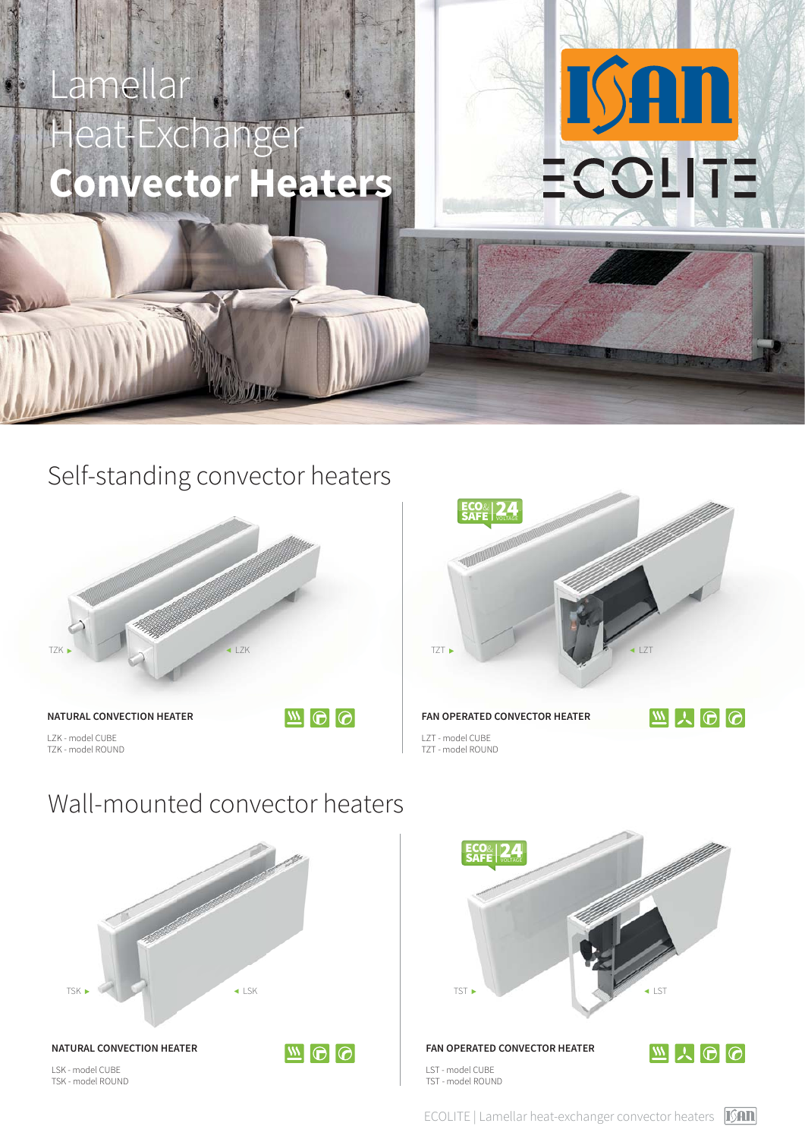# amellar eat-Exchange **Onvector Heater**

### Self-standing convector heaters



LZK - model CUBE TZK - model ROUND



<u>ISAN</u>

ECOLITE

Wall-mounted convector heaters





ECOLITE | Lamellar heat-exchanger convector heaters [SAN]